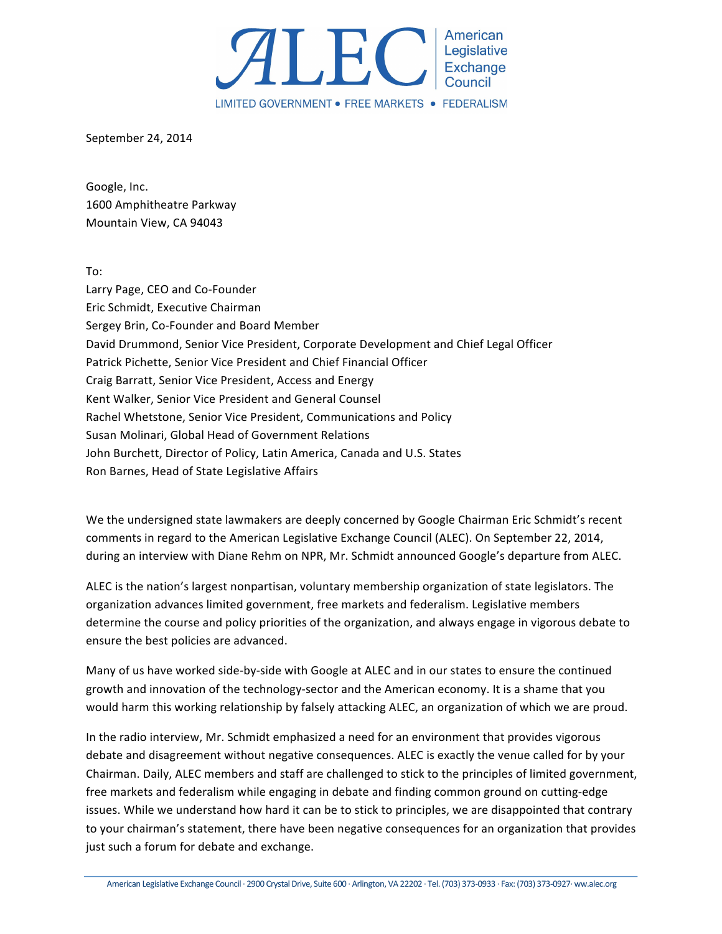

September 24, 2014

Google, Inc. 1600 Amphitheatre Parkway Mountain View, CA 94043

To:

Larry Page, CEO and Co-Founder Eric Schmidt, Executive Chairman Sergey Brin, Co-Founder and Board Member David Drummond, Senior Vice President, Corporate Development and Chief Legal Officer Patrick Pichette, Senior Vice President and Chief Financial Officer Craig Barratt, Senior Vice President, Access and Energy Kent Walker, Senior Vice President and General Counsel Rachel Whetstone, Senior Vice President, Communications and Policy Susan Molinari, Global Head of Government Relations John Burchett, Director of Policy, Latin America, Canada and U.S. States Ron Barnes, Head of State Legislative Affairs

We the undersigned state lawmakers are deeply concerned by Google Chairman Eric Schmidt's recent comments in regard to the American Legislative Exchange Council (ALEC). On September 22, 2014, during an interview with Diane Rehm on NPR, Mr. Schmidt announced Google's departure from ALEC.

ALEC is the nation's largest nonpartisan, voluntary membership organization of state legislators. The organization advances limited government, free markets and federalism. Legislative members determine the course and policy priorities of the organization, and always engage in vigorous debate to ensure the best policies are advanced.

Many of us have worked side-by-side with Google at ALEC and in our states to ensure the continued growth and innovation of the technology-sector and the American economy. It is a shame that you would harm this working relationship by falsely attacking ALEC, an organization of which we are proud.

In the radio interview, Mr. Schmidt emphasized a need for an environment that provides vigorous debate and disagreement without negative consequences. ALEC is exactly the venue called for by your Chairman. Daily, ALEC members and staff are challenged to stick to the principles of limited government, free markets and federalism while engaging in debate and finding common ground on cutting-edge issues. While we understand how hard it can be to stick to principles, we are disappointed that contrary to your chairman's statement, there have been negative consequences for an organization that provides just such a forum for debate and exchange.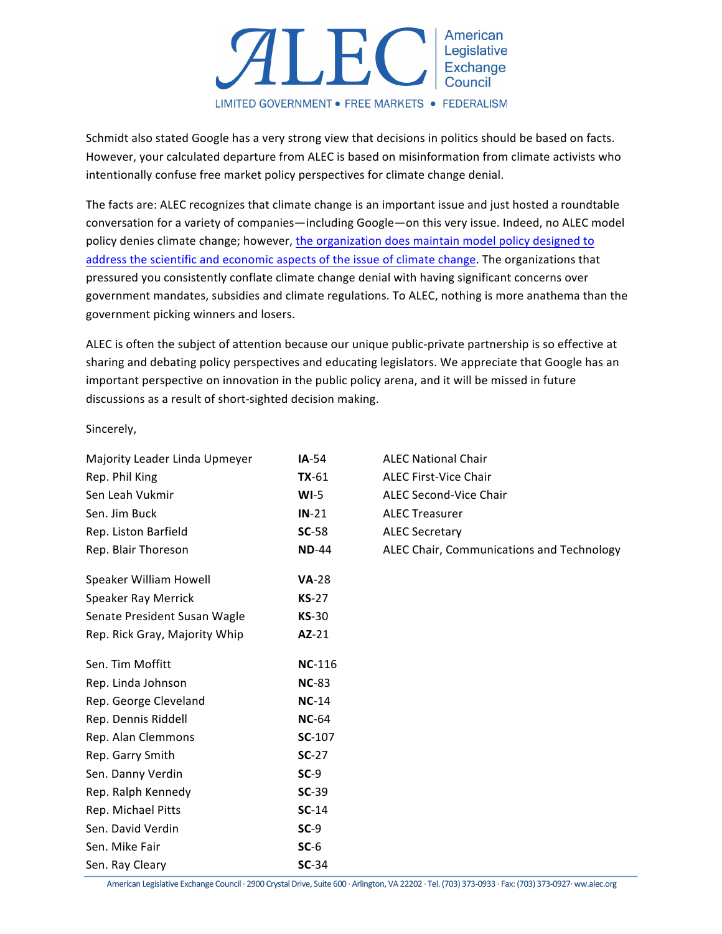

Schmidt also stated Google has a very strong view that decisions in politics should be based on facts. However, your calculated departure from ALEC is based on misinformation from climate activists who intentionally confuse free market policy perspectives for climate change denial.

The facts are: ALEC recognizes that climate change is an important issue and just hosted a roundtable conversation for a variety of companies—including Google—on this very issue. Indeed, no ALEC model policy denies climate change; however, the organization does maintain model policy designed to address the scientific and economic aspects of the issue of climate change. The organizations that pressured you consistently conflate climate change denial with having significant concerns over government mandates, subsidies and climate regulations. To ALEC, nothing is more anathema than the government picking winners and losers.

ALEC is often the subject of attention because our unique public-private partnership is so effective at sharing and debating policy perspectives and educating legislators. We appreciate that Google has an important perspective on innovation in the public policy arena, and it will be missed in future discussions as a result of short-sighted decision making.

Sincerely,

| Majority Leader Linda Upmeyer | $IA-54$       | <b>ALEC National Chair</b>                |
|-------------------------------|---------------|-------------------------------------------|
| Rep. Phil King                | $TX-61$       | <b>ALEC First-Vice Chair</b>              |
| Sen Leah Vukmir               | $WI-5$        | <b>ALEC Second-Vice Chair</b>             |
| Sen. Jim Buck                 | $IN-21$       | <b>ALEC Treasurer</b>                     |
| Rep. Liston Barfield          | $SC-58$       | <b>ALEC Secretary</b>                     |
| Rep. Blair Thoreson           | <b>ND-44</b>  | ALEC Chair, Communications and Technology |
| Speaker William Howell        | <b>VA-28</b>  |                                           |
| Speaker Ray Merrick           | $KS-27$       |                                           |
| Senate President Susan Wagle  | $KS-30$       |                                           |
| Rep. Rick Gray, Majority Whip | AZ-21         |                                           |
| Sen. Tim Moffitt              | <b>NC-116</b> |                                           |
| Rep. Linda Johnson            | <b>NC-83</b>  |                                           |
| Rep. George Cleveland         | $NC-14$       |                                           |
| Rep. Dennis Riddell           | <b>NC-64</b>  |                                           |
| Rep. Alan Clemmons            | SC-107        |                                           |
| Rep. Garry Smith              | $SC-27$       |                                           |
| Sen. Danny Verdin             | $SC-9$        |                                           |
| Rep. Ralph Kennedy            | $SC-39$       |                                           |
| Rep. Michael Pitts            | $SC-14$       |                                           |
| Sen. David Verdin             | $SC-9$        |                                           |
| Sen. Mike Fair                | $SC-6$        |                                           |
| Sen. Ray Cleary               | $SC-34$       |                                           |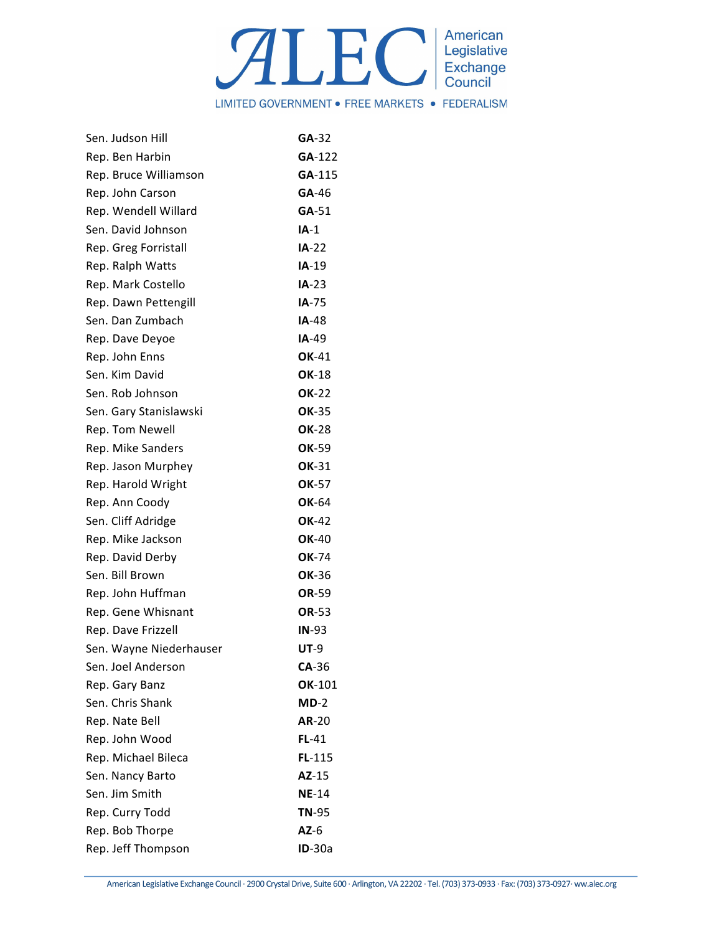

| Sen. Judson Hill        | $GA-32$      |
|-------------------------|--------------|
| Rep. Ben Harbin         | GA-122       |
| Rep. Bruce Williamson   | GA-115       |
| Rep. John Carson        | GA-46        |
| Rep. Wendell Willard    | $GA-51$      |
| Sen. David Johnson      | $IA-1$       |
| Rep. Greg Forristall    | $IA-22$      |
| Rep. Ralph Watts        | $IA-19$      |
| Rep. Mark Costello      | $IA-23$      |
| Rep. Dawn Pettengill    | IA-75        |
| Sen. Dan Zumbach        | $IA-48$      |
| Rep. Dave Deyoe         | $IA-49$      |
| Rep. John Enns          | <b>OK-41</b> |
| Sen. Kim David          | OK-18        |
| Sen. Rob Johnson        | <b>OK-22</b> |
| Sen. Gary Stanislawski  | <b>OK-35</b> |
| Rep. Tom Newell         | <b>OK-28</b> |
| Rep. Mike Sanders       | OK-59        |
| Rep. Jason Murphey      | OK-31        |
| Rep. Harold Wright      | OK-57        |
| Rep. Ann Coody          | <b>OK-64</b> |
| Sen. Cliff Adridge      | OK-42        |
| Rep. Mike Jackson       | <b>OK-40</b> |
| Rep. David Derby        | OK-74        |
| Sen. Bill Brown         | OK-36        |
| Rep. John Huffman       | OR-59        |
| Rep. Gene Whisnant      | OR-53        |
| Rep. Dave Frizzell      | $IN-93$      |
| Sen. Wayne Niederhauser | <b>UT-9</b>  |
| Sen. Joel Anderson      | $CA-36$      |
| Rep. Gary Banz          | OK-101       |
| Sen. Chris Shank        | $MD-2$       |
| Rep. Nate Bell          | <b>AR-20</b> |
| Rep. John Wood          | $FL-41$      |
| Rep. Michael Bileca     | $FL-115$     |
| Sen. Nancy Barto        | AZ-15        |
| Sen. Jim Smith          | <b>NE-14</b> |
| Rep. Curry Todd         | <b>TN-95</b> |
| Rep. Bob Thorpe         | $AZ-6$       |
| Rep. Jeff Thompson      | $ID-30a$     |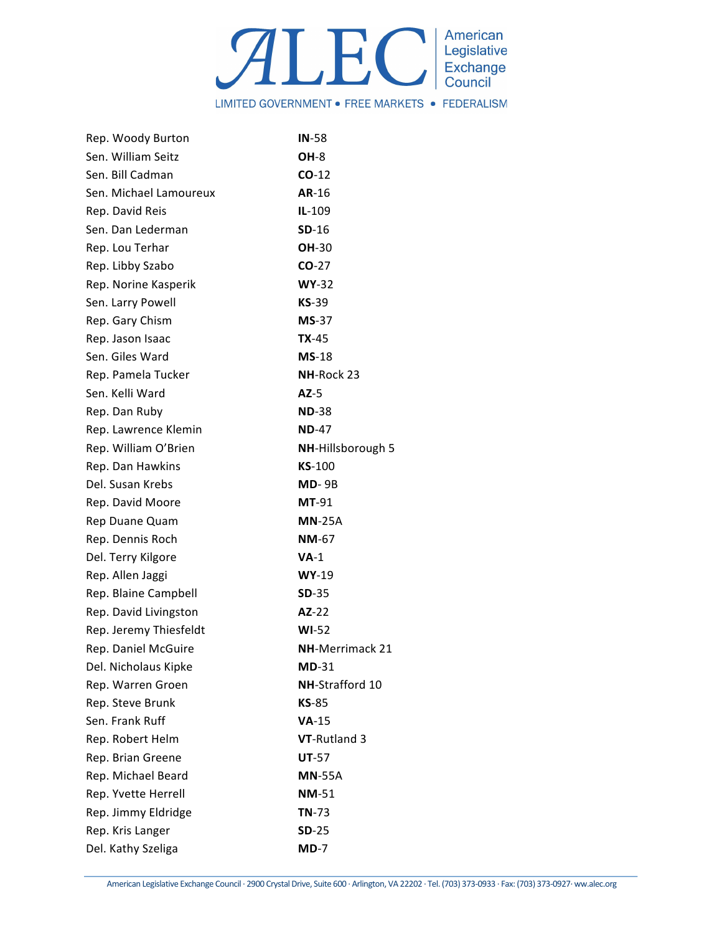

| Rep. Woody Burton      | $IN-58$                |
|------------------------|------------------------|
| Sen. William Seitz     | OH-8                   |
| Sen. Bill Cadman       | $CO-12$                |
| Sen. Michael Lamoureux | AR-16                  |
| Rep. David Reis        | $IL-109$               |
| Sen. Dan Lederman      | $SD-16$                |
| Rep. Lou Terhar        | <b>OH-30</b>           |
| Rep. Libby Szabo       | $CO-27$                |
| Rep. Norine Kasperik   | $WY-32$                |
| Sen. Larry Powell      | $KS-39$                |
| Rep. Gary Chism        | $MS-37$                |
| Rep. Jason Isaac       | <b>TX-45</b>           |
| Sen. Giles Ward        | $MS-18$                |
| Rep. Pamela Tucker     | NH-Rock 23             |
| Sen. Kelli Ward        | $AZ-5$                 |
| Rep. Dan Ruby          | <b>ND-38</b>           |
| Rep. Lawrence Klemin   | <b>ND-47</b>           |
| Rep. William O'Brien   | NH-Hillsborough 5      |
| Rep. Dan Hawkins       | <b>KS-100</b>          |
| Del. Susan Krebs       | <b>MD-9B</b>           |
| Rep. David Moore       | $MT-91$                |
| Rep Duane Quam         | $MN-25A$               |
| Rep. Dennis Roch       | <b>NM-67</b>           |
| Del. Terry Kilgore     | $VA-1$                 |
| Rep. Allen Jaggi       | $WY-19$                |
| Rep. Blaine Campbell   | $SD-35$                |
| Rep. David Livingston  | AZ-22                  |
| Rep. Jeremy Thiesfeldt | $WI-52$                |
| Rep. Daniel McGuire    | <b>NH-Merrimack 21</b> |
| Del. Nicholaus Kipke   | $MD-31$                |
| Rep. Warren Groen      | NH-Strafford 10        |
| Rep. Steve Brunk       | $KS-85$                |
| Sen. Frank Ruff        | $VA-15$                |
| Rep. Robert Helm       | VT-Rutland 3           |
| Rep. Brian Greene      | $UT-57$                |
| Rep. Michael Beard     | <b>MN-55A</b>          |
| Rep. Yvette Herrell    | <b>NM-51</b>           |
| Rep. Jimmy Eldridge    | $TN-73$                |
| Rep. Kris Langer       | $SD-25$                |
| Del. Kathy Szeliga     | $MD-7$                 |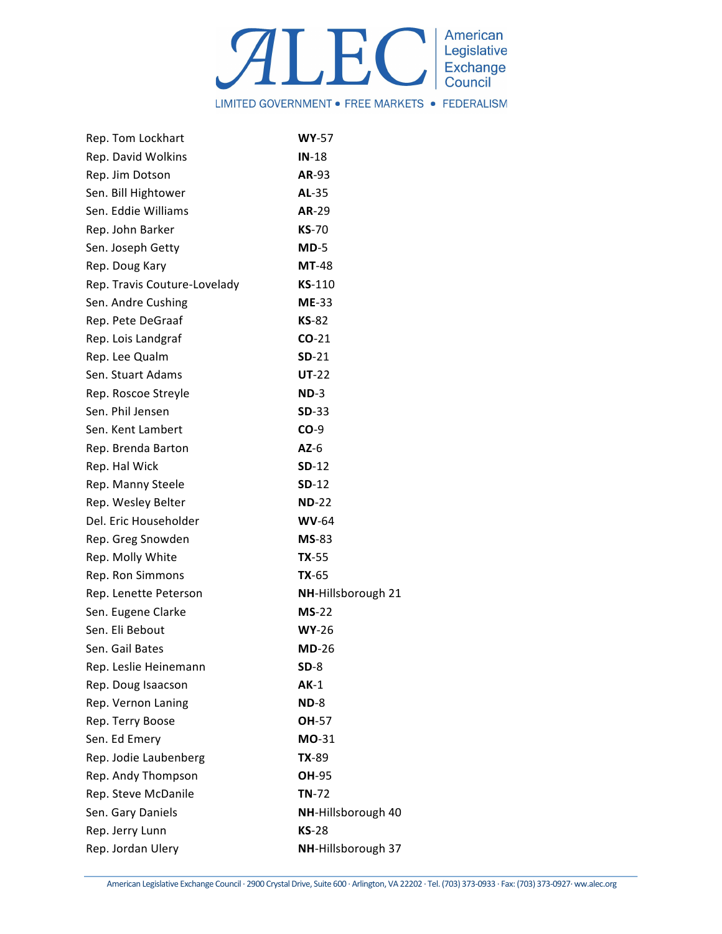

| <b>WY-57</b>       |
|--------------------|
| $IN-18$            |
| AR-93              |
| AL-35              |
| AR-29              |
| <b>KS-70</b>       |
| $MD-5$             |
| <b>MT-48</b>       |
| $KS-110$           |
| $ME-33$            |
| $KS-82$            |
| $CO-21$            |
| $SD-21$            |
| $UT-22$            |
| $ND-3$             |
| $SD-33$            |
| $CO-9$             |
| $AZ-6$             |
| $SD-12$            |
| $SD-12$            |
| $ND-22$            |
| $WV-64$            |
| $MS-83$            |
| $TX-55$            |
| $TX-65$            |
| NH-Hillsborough 21 |
| $MS-22$            |
| $WY-26$            |
| $MD-26$            |
| $SD-8$             |
| $AK-1$             |
| $ND-8$             |
| OH-57              |
| MO-31              |
| $TX-89$            |
| OH-95              |
| $TN-72$            |
| NH-Hillsborough 40 |
| $KS-28$            |
| NH-Hillsborough 37 |
|                    |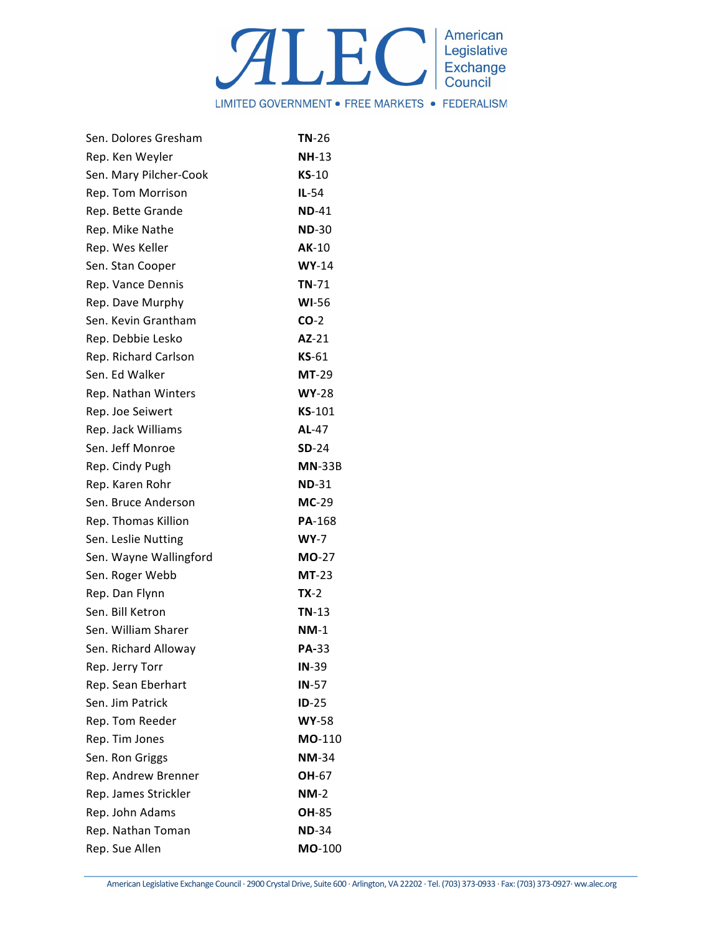

| Sen. Dolores Gresham   | $TN-26$       |
|------------------------|---------------|
| Rep. Ken Weyler        | $NH-13$       |
| Sen. Mary Pilcher-Cook | $KS-10$       |
| Rep. Tom Morrison      | $IL-54$       |
| Rep. Bette Grande      | $ND-41$       |
| Rep. Mike Nathe        | $ND-30$       |
| Rep. Wes Keller        | $AK-10$       |
| Sen. Stan Cooper       | $WY-14$       |
| Rep. Vance Dennis      | $TN-71$       |
| Rep. Dave Murphy       | <b>WI-56</b>  |
| Sen. Kevin Grantham    | $CO-2$        |
| Rep. Debbie Lesko      | $AZ-21$       |
| Rep. Richard Carlson   | $KS-61$       |
| Sen. Ed Walker         | <b>MT-29</b>  |
| Rep. Nathan Winters    | $WY-28$       |
| Rep. Joe Seiwert       | <b>KS-101</b> |
| Rep. Jack Williams     | AL-47         |
| Sen. Jeff Monroe       | $SD-24$       |
| Rep. Cindy Pugh        | $MN-33B$      |
| Rep. Karen Rohr        | <b>ND-31</b>  |
| Sen. Bruce Anderson    | $MC-29$       |
| Rep. Thomas Killion    | PA-168        |
| Sen. Leslie Nutting    | $WY-7$        |
| Sen. Wayne Wallingford | <b>MO-27</b>  |
| Sen. Roger Webb        | $MT-23$       |
| Rep. Dan Flynn         | TX-2          |
| Sen. Bill Ketron       | $TN-13$       |
| Sen. William Sharer    | $NM-1$        |
| Sen. Richard Alloway   | <b>PA-33</b>  |
| Rep. Jerry Torr        | $IN-39$       |
| Rep. Sean Eberhart     | $IN-57$       |
| Sen. Jim Patrick       | $ID-25$       |
| Rep. Tom Reeder        | <b>WY-58</b>  |
| Rep. Tim Jones         | MO-110        |
| Sen. Ron Griggs        | <b>NM-34</b>  |
| Rep. Andrew Brenner    | <b>OH-67</b>  |
| Rep. James Strickler   | $NM-2$        |
| Rep. John Adams        | OH-85         |
| Rep. Nathan Toman      | $ND-34$       |
| Rep. Sue Allen         | MO-100        |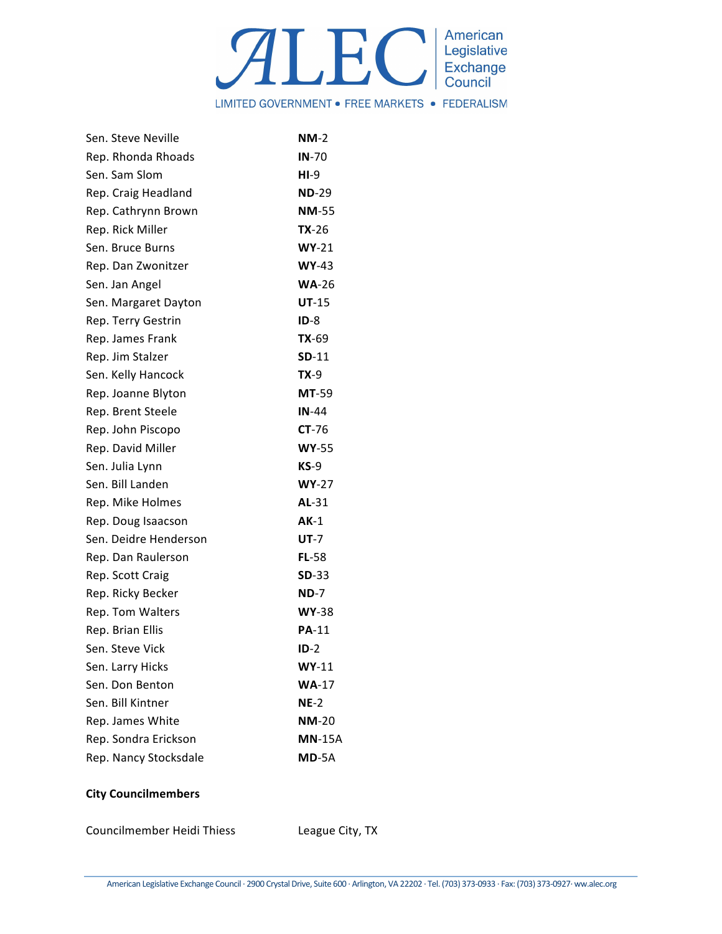

| Sen. Steve Neville    | $NM-2$        |
|-----------------------|---------------|
| Rep. Rhonda Rhoads    | $IN-70$       |
| Sen. Sam Slom         | $HI-9$        |
| Rep. Craig Headland   | <b>ND-29</b>  |
| Rep. Cathrynn Brown   | <b>NM-55</b>  |
| Rep. Rick Miller      | $TX-26$       |
| Sen. Bruce Burns      | $WY-21$       |
| Rep. Dan Zwonitzer    | $WY-43$       |
| Sen. Jan Angel        | $WA-26$       |
| Sen. Margaret Dayton  | $UT-15$       |
| Rep. Terry Gestrin    | $ID-8$        |
| Rep. James Frank      | $TX-69$       |
| Rep. Jim Stalzer      | $SD-11$       |
| Sen. Kelly Hancock    | $TX-9$        |
| Rep. Joanne Blyton    | <b>MT-59</b>  |
| Rep. Brent Steele     | $IN-44$       |
| Rep. John Piscopo     | $CT-76$       |
| Rep. David Miller     | <b>WY-55</b>  |
| Sen. Julia Lynn       | $KS-9$        |
| Sen. Bill Landen      | $WY-27$       |
| Rep. Mike Holmes      | AL-31         |
| Rep. Doug Isaacson    | $AK-1$        |
| Sen. Deidre Henderson | <b>UT-7</b>   |
| Rep. Dan Raulerson    | $FL-58$       |
| Rep. Scott Craig      | <b>SD-33</b>  |
| Rep. Ricky Becker     | $ND-7$        |
| Rep. Tom Walters      | <b>WY-38</b>  |
| Rep. Brian Ellis      | <b>PA-11</b>  |
| Sen. Steve Vick       | $ID-2$        |
| Sen. Larry Hicks      | $WY-11$       |
| Sen. Don Benton       | $WA-17$       |
| Sen. Bill Kintner     | $NE-2$        |
| Rep. James White      | <b>NM-20</b>  |
| Rep. Sondra Erickson  | <b>MN-15A</b> |
| Rep. Nancy Stocksdale | <b>MD-5A</b>  |

## **City Councilmembers**

Councilmember Heidi Thiess League City, TX